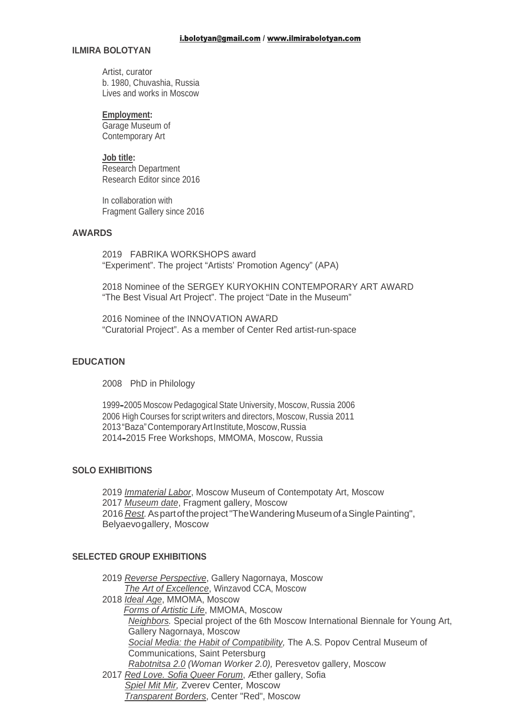#### **ILMIRA BOLOTYAN**

Artist, curator b. 1980, Chuvashia, Russia Lives and works in Moscow

#### **Employment:**

Garage Museum of Contemporary Art

### **Job title:**

Research Department Research Editor since 2016

In collaboration with Fragment Gallery since 2016

### **AWARDS**

2019 FABRIKA WORKSHOPS award "Experiment". The project "Artists' Promotion Agency" (APA)

2018 Nominee of the SERGEY KURYOKHIN CONTEMPORARY ART AWARD "The Best Visual Art Project". The project "Date in the Museum"

2016 Nominee of the INNOVATION AWARD "Curatorial Project". As a member of Center Red artist-run-space

### **EDUCATION**

2008 PhD in Philology

1999–2005 Moscow Pedagogical State University, Moscow, Russia 2006 2006 High Courses for script writers and directors, Moscow, Russia 2011 2013"Baza"ContemporaryArtInstitute,Moscow,Russia 2014–2015 Free Workshops, MMOMA, Moscow, Russia

### **SOLO EXHIBITIONS**

*Immaterial Labor*, Moscow Museum of Contempotaty Art, Moscow *Museum date*, Fragment gallery, Moscow *Rest.*Aspartoftheproject"TheWanderingMuseumofaSinglePainting", Belyaevogallery, Moscow

## **SELECTED GROUP EXHIBITIONS**

| 2019 Reverse Perspective, Gallery Nagornaya, Moscow                                |  |
|------------------------------------------------------------------------------------|--|
| The Art of Excellence, Winzavod CCA, Moscow                                        |  |
| 2018 Ideal Age, MMOMA, Moscow                                                      |  |
| Forms of Artistic Life, MMOMA, Moscow                                              |  |
| Neighbors. Special project of the 6th Moscow International Biennale for Young Art, |  |
| Gallery Nagornaya, Moscow                                                          |  |
| Social Media: the Habit of Compatibility, The A.S. Popov Central Museum of         |  |
| Communications, Saint Petersburg                                                   |  |
| Rabotnitsa 2.0 (Woman Worker 2.0), Peresvetov gallery, Moscow                      |  |
| 2017 Red Love. Sofia Queer Forum, Æther gallery, Sofia                             |  |
| Spiel Mit Mir, Zverev Center, Moscow                                               |  |
| Transparent Borders, Center "Red", Moscow                                          |  |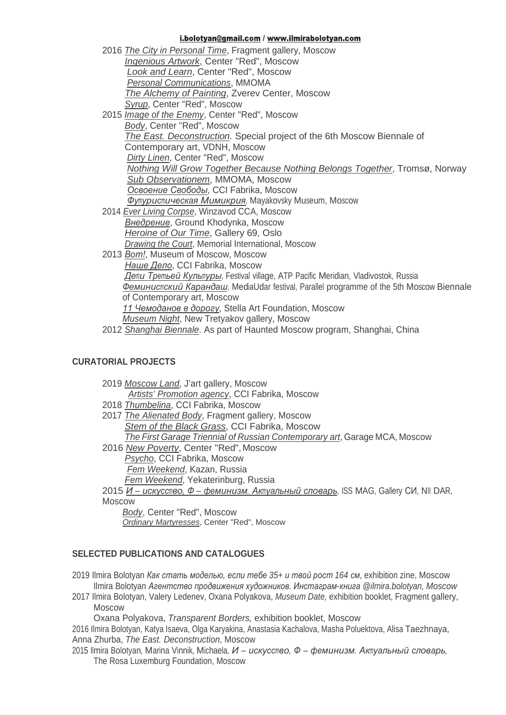#### i.bolotyan@gmail.com / www.ilmirabolotyan.com

| 2016 The City in Personal Time, Fragment gallery, Moscow                                 |
|------------------------------------------------------------------------------------------|
| Ingenious Artwork, Center "Red", Moscow                                                  |
| <b>Look and Learn, Center "Red", Moscow</b>                                              |
| <b>Personal Communications, MMOMA</b>                                                    |
| The Alchemy of Painting, Zverev Center, Moscow                                           |
| Syrup, Center "Red", Moscow                                                              |
| 2015 <i>Image of the Enemy</i> , Center "Red", Moscow                                    |
| Body, Center "Red", Moscow                                                               |
| The East. Deconstruction. Special project of the 6th Moscow Biennale of                  |
| Contemporary art, VDNH, Moscow                                                           |
| Dirty Linen, Center "Red", Moscow                                                        |
| <b>Nothing Will Grow Together Because Nothing Belongs Together, Tromsø, Norway</b>       |
| Sub Observationem, MMOMA, Moscow                                                         |
| Освоение Свободы, ССІ Fabrika, Moscow                                                    |
| Футуристическая Мимикрия, Mayakovsky Museum, Moscow                                      |
| 2014 Ever Living Corpse, Winzavod CCA, Moscow                                            |
| <b>Внедрение, Ground Khodynka, Moscow</b>                                                |
| Heroine of Our Time, Gallery 69, Oslo                                                    |
| Drawing the Court, Memorial International, Moscow                                        |
| 2013 Bom!, Museum of Moscow, Moscow                                                      |
| Наше Дело, ССІ Fabrika, Moscow                                                           |
| Дети Третьей Культуры, Festival village, ATP Pacific Meridian, Vladivostok, Russia       |
| Феминистский Карандаш, MediaUdar festival, Parallel programme of the 5th Moscow Biennale |
| of Contemporary art, Moscow                                                              |
| 11 Чемоданов в дорогу, Stella Art Foundation, Moscow                                     |
| <b>Museum Night, New Tretyakov gallery, Moscow</b>                                       |

2012 *Shanghai Biennale*. As part of Haunted Moscow program, Shanghai, China

## **CURATORIAL PROJECTS**

| 2019 Moscow Land, J'art gallery, Moscow                                             |
|-------------------------------------------------------------------------------------|
| Artists' Promotion agency, CCI Fabrika, Moscow                                      |
| 2018 Thumbelina, CCI Fabrika, Moscow                                                |
| 2017 The Alienated Body, Fragment gallery, Moscow                                   |
| Stem of the Black Grass, CCI Fabrika, Moscow                                        |
| The First Garage Triennial of Russian Contemporary art, Garage MCA, Moscow          |
| 2016 New Poverty, Center "Red", Moscow                                              |
| Psycho, CCI Fabrika, Moscow                                                         |
| Fem Weekend, Kazan, Russia                                                          |
| Fem Weekend, Yekaterinburg, Russia                                                  |
| 2015 И – искусство, Ф – феминизм. Актуальный словарь, ISS MAG, Gallery СИ, NII DAR, |
| Moscow                                                                              |
| Desky Content Deall Meason                                                          |

*Body*, Center "Red", Moscow *Ordinary Martyresses*, Center "Red", Moscow

# **SELECTED PUBLICATIONS AND CATALOGUES**

2019 Ilmira Bolotyan *Как стать моделью, если тебе 35+ и твой рост 164 см*, exhibition zine, Moscow Ilmira Bolotyan *Агентство продвижения художников. Инстаграм-книга @ilmira.bolotyan, Moscow*

2017 Ilmira Bolotyan, Valery Ledenev, Oxana Polyakova, *Museum Date,* exhibition booklet, Fragment gallery, Moscow

Oxana Polyakova, *Transparent Borders,* exhibition booklet, Moscow

2016 Ilmira Bolotyan, Katya Isaeva, Olga Karyakina, Anastasia Kachalova, Masha Poluektova, Alisa Taezhnaya, Anna Zhurba, *The East. Deconstruction*, Moscow

2015 Ilmira Bolotyan, Marina Vinnik, Michaela, *И – искусство, Ф – феминизм. Актуальный словарь,* The Rosa Luxemburg Foundation, Moscow